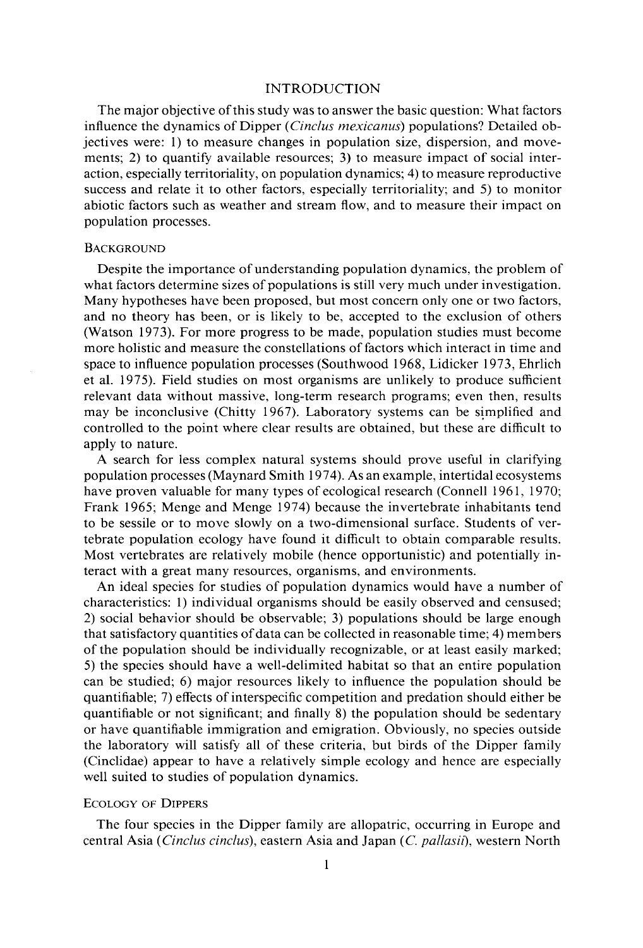## **INTRODUCTION**

**The major objective of this study was to answer the basic question: What factors**  influence the dynamics of Dipper *(Cinclus mexicanus)* populations? Detailed ob**jectives were: 1) to measure changes in population size, dispersion, and movements; 2) to quantify available resources; 3) to measure impact of social interaction, especially territoriality, on population dynamics; 4) to measure reproductive success and relate it to other factors, especially territoriality; and 5) to monitor abiotic factors such as weather and stream flow, and to measure their impact on population processes.** 

## **BACKGROUND**

**Despite the importance of understanding population dynamics, the problem of what factors determine sizes of populations is still very much under investigation. Many hypotheses have been proposed, but most concern only one or two factors, and no theory has been, or is likely to be, accepted to the exclusion of others (Watson 1973). For more progress to be made, population studies must become more holistic and measure the constellations of factors which interact in time and space to influence population processes (Southwood 1968, Lidicker 1973, Ehrlich et al. 1975). Field studies on most organisms are unlikely to produce sufficient relevant data without massive, long-term research programs; even then, results may be inconclusive (Chitty 1967). Laboratory systems can be simplified and controlled to the point where clear results are obtained, but these are difficult to apply to nature.** 

**A search for less complex natural systems should prove useful in clarifying population processes (Maynard Smith 1974). As an example, intertidal ecosystems**  have proven valuable for many types of ecological research (Connell 1961, 1970; **Frank 1965; Menge and Menge 1974) because the invertebrate inhabitants tend to be sessile or to move slowly on a two-dimensional surface. Students of vertebrate population ecology have found it difficult to obtain comparable results. Most vertebrates are relatively mobile (hence opportunistic) and potentially interact with a great many resources, organisms, and environments.** 

**An ideal species for studies of population dynamics would have a number of characteristics: 1) individual organisms should be easily observed and censused; 2) social behavior should be observable; 3) populations should be large enough that satisfactory quantities of data can be collected in reasonable time; 4) members of the population should be individually recognizable, or at least easily marked; 5) the species should have a well-delimited habitat so that an entire population can be studied; 6) major resources likely to influence the population should be quantifiable; 7) effects of interspecific competition and predation should either be quantifiable or not significant; and finally 8) the population should be sedentary or have quantifiable immigration and emigration. Obviously, no species outside the laboratory will satisfy all of these criteria, but birds of the Dipper family (Cinclidae) appear to have a relatively simple ecology and hence are especially well suited to studies of population dynamics.** 

## **ECOLOGY OF DIPPERS**

**The four species in the Dipper family are allopatric, occurring in Europe and central Asia (Cinclus cinclus), eastern Asia and Japan (C. pallasii), western North**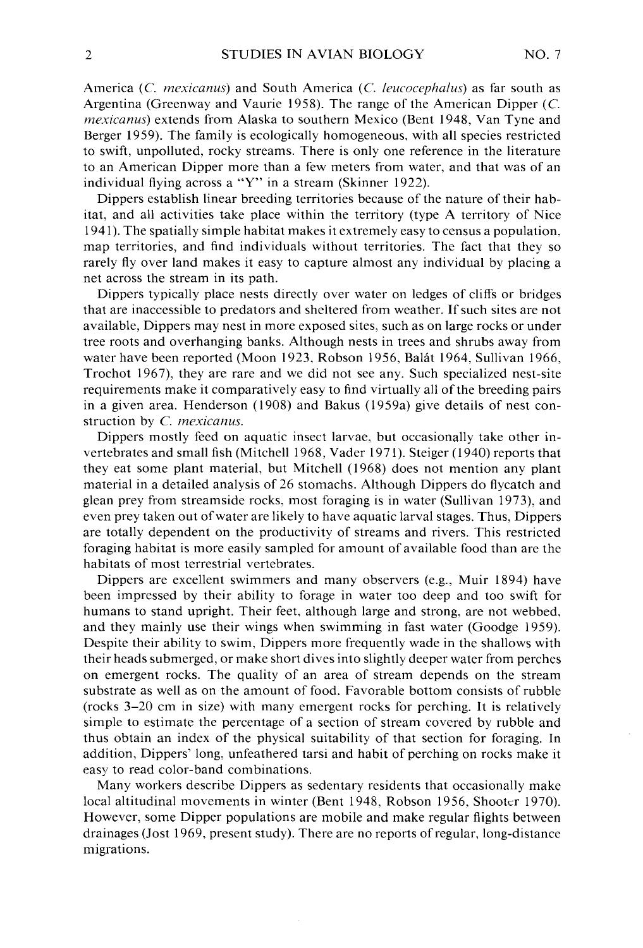**America (C. mexicanus) and South America (C. Ieucocephalus) as far south as Argentina (Greenway and Vaurie 1958). The range of the American Dipper (C. mexicanus) extends from Alaska to southern Mexico (Bent 1948, Van Tyne and Berger 1959). The family is ecologically homogeneous, with all species restricted to swift, unpolluted, rocky streams. There is only one reference in the literature to an American Dipper more than a few meters from water, and that was of an individual flying across a "Y" in a stream (Skinner 1922).** 

**Dippers establish linear breeding territories because of the nature of their habitat, and all activities take place within the territory (type A territory of Nice 194 1). The spatially simple habitat makes it extremely easy to census a population, map territories, and find individuals without territories. The fact that they so rarely fly over land makes it easy to capture almost any individual by placing a net across the stream in its path.** 

**Dippers typically place nests directly over water on ledges of cliffs or bridges that are inaccessible to predators and sheltered from weather. If such sites are not available, Dippers may nest in more exposed sites, such as on large rocks or under tree roots and overhanging banks. Although nests in trees and shrubs away from water have been reported (Moon 1923, Robson 1956, Balat 1964, Sullivan 1966, Trochot 1967) they are rare and we did not see any. Such specialized nest-site requirements make it comparatively easy to find virtually all of the breeding pairs in a given area. Henderson (1908) and Bakus (1959a) give details of nest construction by C. mexicanus.** 

**Dippers mostly feed on aquatic insect larvae, but occasionally take other invertebrates and small fish (Mitchell 1968, Vader 197 1). Steiger (1940) reports that they eat some plant material, but Mitchell (1968) does not mention any plant material in a detailed analysis of 26 stomachs. Although Dippers do flycatch and glean prey from streamside rocks, most foraging is in water (Sullivan 1973) and even prey taken out of water are likely to have aquatic larval stages. Thus, Dippers are totally dependent on the productivity of streams and rivers. This restricted foraging habitat is more easily sampled for amount of available food than are the habitats of most terrestrial vertebrates.** 

**Dippers are excellent swimmers and many observers (e.g., Muir 1894) have been impressed by their ability to forage in water too deep and too swift for humans to stand upright. Their feet, although large and strong, are not webbed, and they mainly use their wings when swimming in fast water (Goodge 1959). Despite their ability to swim, Dippers more frequently wade in the shallows with their heads submerged, or make short dives into slightly deeper water from perches on emergent rocks. The quality of an area of stream depends on the stream substrate as well as on the amount of food. Favorable bottom consists of rubble (rocks 3-20 cm in size) with many emergent rocks for perching. It is relatively simple to estimate the percentage of a section of stream covered by rubble and thus obtain an index of the physical suitability of that section for foraging. In addition, Dippers' long, unfeathered tarsi and habit of perching on rocks make it easy to read color-band combinations.** 

**Many workers describe Dippers as sedentary residents that occasionally make local altitudinal movements in winter (Bent 1948, Robson 1956, Shooter 1970). However, some Dipper populations are mobile and make regular flights between drainages (Jost 1969, present study). There are no reports of regular, long-distance migrations.**